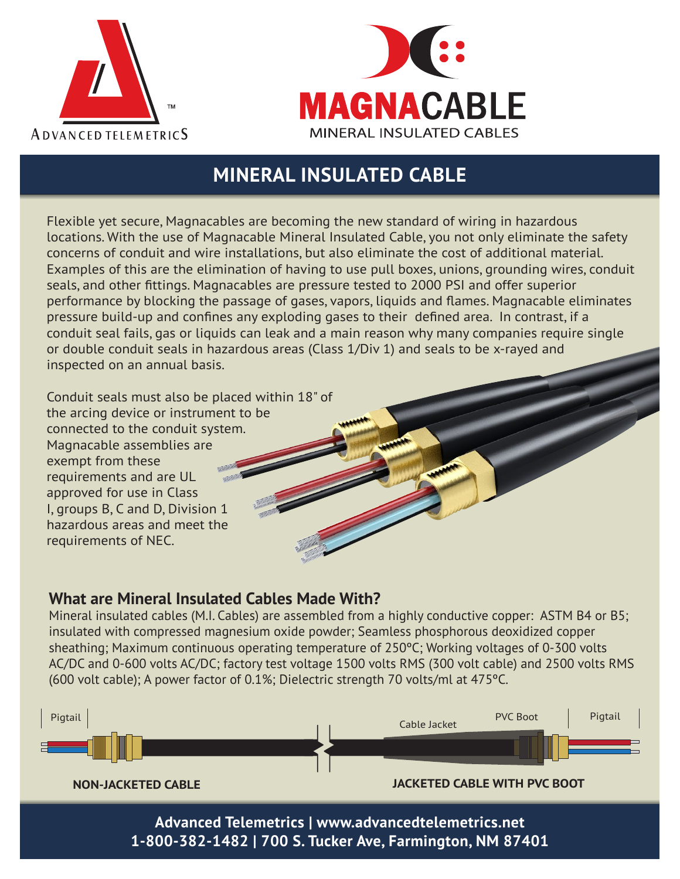



## **MINERAL INSULATED CABLE**

Flexible yet secure, Magnacables are becoming the new standard of wiring in hazardous locations. With the use of Magnacable Mineral Insulated Cable, you not only eliminate the safety concerns of conduit and wire installations, but also eliminate the cost of additional material. Examples of this are the elimination of having to use pull boxes, unions, grounding wires, conduit seals, and other fittings. Magnacables are pressure tested to 2000 PSI and offer superior performance by blocking the passage of gases, vapors, liquids and flames. Magnacable eliminates pressure build-up and confines any exploding gases to their defined area. In contrast, if a conduit seal fails, gas or liquids can leak and a main reason why many companies require single or double conduit seals in hazardous areas (Class 1/Div 1) and seals to be x-rayed and inspected on an annual basis.

Conduit seals must also be placed within 18" of the arcing device or instrument to be connected to the conduit system. Magnacable assemblies are exempt from these requirements and are UL approved for use in Class I, groups B, C and D, Division 1 hazardous areas and meet the requirements of NEC.

## **What are Mineral Insulated Cables Made With?**

Mineral insulated cables (M.I. Cables) are assembled from a highly conductive copper: ASTM B4 or B5; insulated with compressed magnesium oxide powder; Seamless phosphorous deoxidized copper sheathing; Maximum continuous operating temperature of 250ºC; Working voltages of 0-300 volts AC/DC and 0-600 volts AC/DC; factory test voltage 1500 volts RMS (300 volt cable) and 2500 volts RMS (600 volt cable); A power factor of 0.1%; Dielectric strength 70 volts/ml at 475ºC.